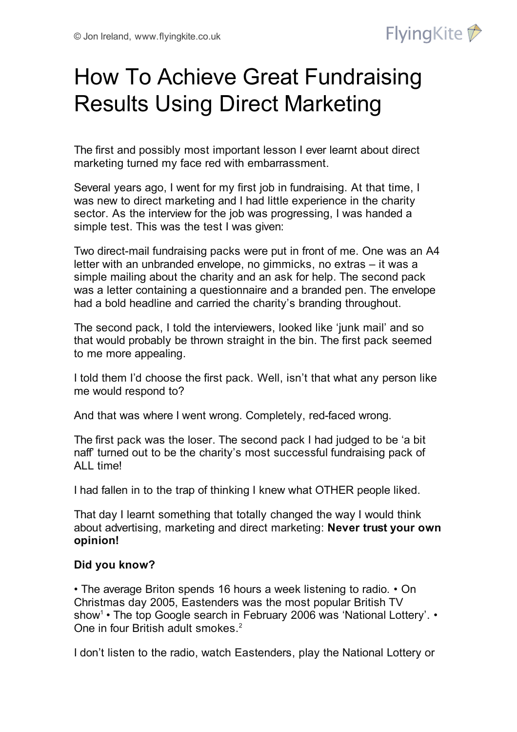

# How To Achieve Great Fundraising Results Using Direct Marketing

The first and possibly most important lesson I ever learnt about direct marketing turned my face red with embarrassment.

Several years ago, I went for my first job in fundraising. At that time, I was new to direct marketing and I had little experience in the charity sector. As the interview for the job was progressing, I was handed a simple test. This was the test I was given:

Two direct-mail fundraising packs were put in front of me. One was an A4 letter with an unbranded envelope, no gimmicks, no extras – it was a simple mailing about the charity and an ask for help. The second pack was a letter containing a questionnaire and a branded pen. The envelope had a bold headline and carried the charity's branding throughout.

The second pack, I told the interviewers, looked like 'junk mail' and so that would probably be thrown straight in the bin. The first pack seemed to me more appealing.

I told them I'd choose the first pack. Well, isn't that what any person like me would respond to?

And that was where I went wrong. Completely, red-faced wrong.

The first pack was the loser. The second pack I had judged to be 'a bit naff' turned out to be the charity's most successful fundraising pack of ALL time!

I had fallen in to the trap of thinking I knew what OTHER people liked.

That day I learnt something that totally changed the way I would think about advertising, marketing and direct marketing: **Never trust your own opinion!**

## **Did you know?**

• The average Briton spends 16 hours a week listening to radio. • On Christmas day 2005, Eastenders was the most popular British TV show<sup>1</sup> • The top Google search in February 2006 was 'National Lottery'. • One in four British adult smokes. 2

I don't listen to the radio, watch Eastenders, play the National Lottery or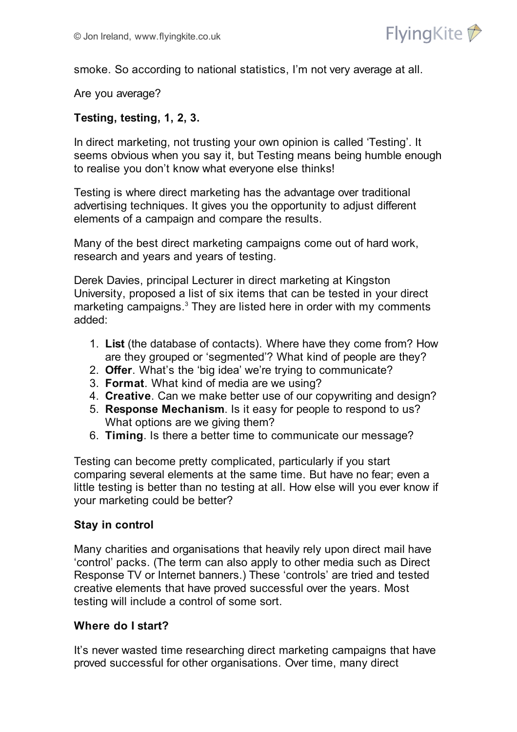

smoke. So according to national statistics, I'm not very average at all.

Are you average?

### **Testing, testing, 1, 2, 3.**

In direct marketing, not trusting your own opinion is called 'Testing'. It seems obvious when you say it, but Testing means being humble enough to realise you don't know what everyone else thinks!

Testing is where direct marketing has the advantage over traditional advertising techniques. It gives you the opportunity to adjust different elements of a campaign and compare the results.

Many of the best direct marketing campaigns come out of hard work, research and years and years of testing.

Derek Davies, principal Lecturer in direct marketing at Kingston University, proposed a list of six items that can be tested in your direct marketing campaigns. <sup>3</sup> They are listed here in order with my comments added:

- 1. **List** (the database of contacts). Where have they come from? How are they grouped or 'segmented'? What kind of people are they?
- 2. **Offer**. What's the 'big idea' we're trying to communicate?
- 3. **Format**. What kind of media are we using?
- 4. **Creative**. Can we make better use of our copywriting and design?
- 5. **Response Mechanism**. Is it easy for people to respond to us? What options are we giving them?
- 6. **Timing**. Is there a better time to communicate our message?

Testing can become pretty complicated, particularly if you start comparing several elements at the same time. But have no fear; even a little testing is better than no testing at all. How else will you ever know if your marketing could be better?

#### **Stay in control**

Many charities and organisations that heavily rely upon direct mail have 'control' packs. (The term can also apply to other media such as Direct Response TV or Internet banners.) These 'controls' are tried and tested creative elements that have proved successful over the years. Most testing will include a control of some sort.

#### **Where do I start?**

It's never wasted time researching direct marketing campaigns that have proved successful for other organisations. Over time, many direct